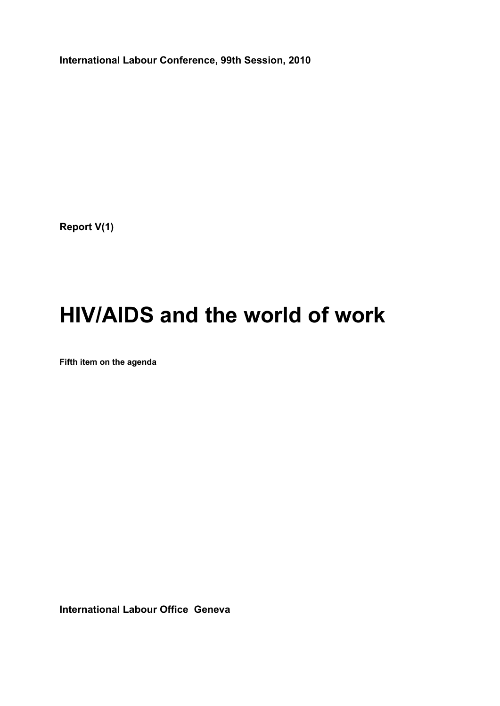**International Labour Conference, 99th Session, 2010** 

**Report V(1)** 

# **HIV/AIDS and the world of work**

**Fifth item on the agenda** 

**International Labour Office Geneva**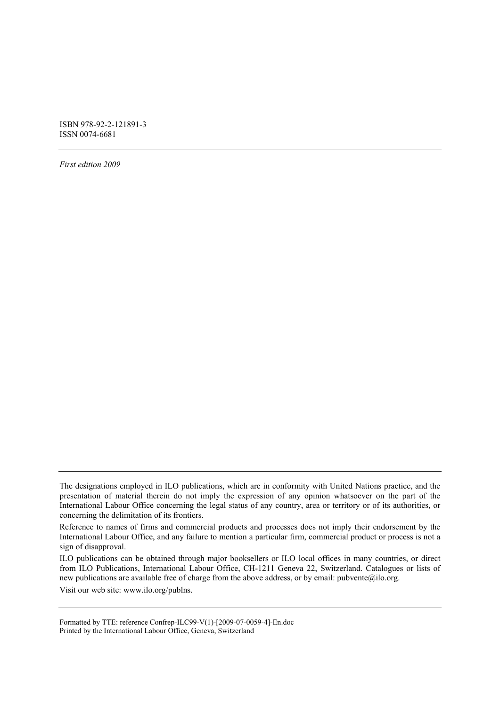ISBN 978-92-2-121891-3 ISSN 0074-6681

*First edition 2009* 

ILO publications can be obtained through major booksellers or ILO local offices in many countries, or direct from ILO Publications, International Labour Office, CH-1211 Geneva 22, Switzerland. Catalogues or lists of new publications are available free of charge from the above address, or by email: pubvente@ilo.org.

Visit our web site: www.ilo.org/publns.

Formatted by TTE: reference Confrep-ILC99-V(1)-[2009-07-0059-4]-En.doc Printed by the International Labour Office, Geneva, Switzerland

The designations employed in ILO publications, which are in conformity with United Nations practice, and the presentation of material therein do not imply the expression of any opinion whatsoever on the part of the International Labour Office concerning the legal status of any country, area or territory or of its authorities, or concerning the delimitation of its frontiers.

Reference to names of firms and commercial products and processes does not imply their endorsement by the International Labour Office, and any failure to mention a particular firm, commercial product or process is not a sign of disapproval.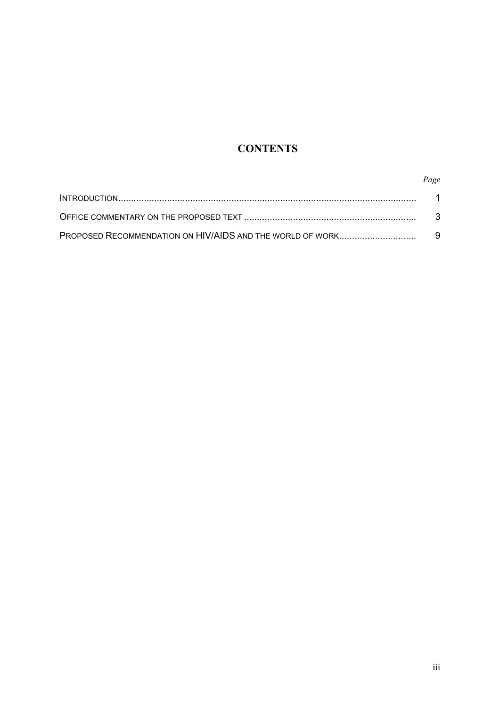## **CONTENTS**

## *Page*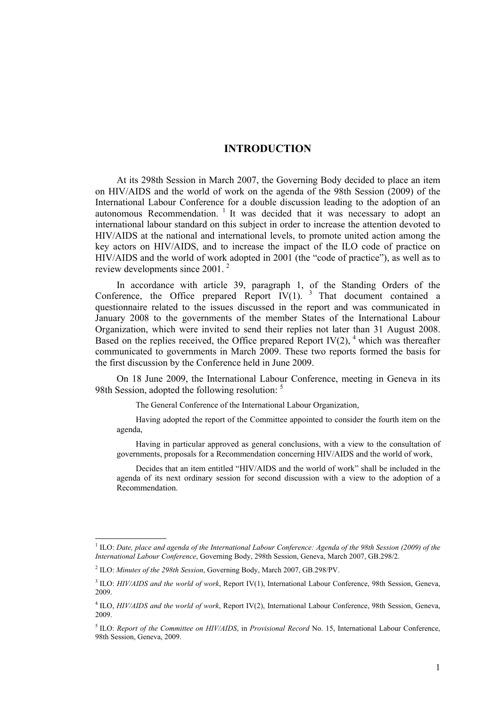## **INTRODUCTION**

At its 298th Session in March 2007, the Governing Body decided to place an item on HIV/AIDS and the world of work on the agenda of the 98th Session (2009) of the International Labour Conference for a double discussion leading to the adoption of an autonomous Recommendation.<sup>1</sup> It was decided that it was necessary to adopt an international labour standard on this subject in order to increase the attention devoted to HIV/AIDS at the national and international levels, to promote united action among the key actors on HIV/AIDS, and to increase the impact of the ILO code of practice on HIV/AIDS and the world of work adopted in 2001 (the "code of practice"), as well as to review developments since 2001. 2

In accordance with article 39, paragraph 1, of the Standing Orders of the Conference, the Office prepared Report IV $(1)$ . <sup>3</sup> That document contained a questionnaire related to the issues discussed in the report and was communicated in January 2008 to the governments of the member States of the International Labour Organization, which were invited to send their replies not later than 31 August 2008. Based on the replies received, the Office prepared Report IV $(2)$ , <sup>4</sup> which was thereafter communicated to governments in March 2009. These two reports formed the basis for the first discussion by the Conference held in June 2009.

On 18 June 2009, the International Labour Conference, meeting in Geneva in its 98th Session, adopted the following resolution: <sup>5</sup>

The General Conference of the International Labour Organization,

Having adopted the report of the Committee appointed to consider the fourth item on the agenda,

Having in particular approved as general conclusions, with a view to the consultation of governments, proposals for a Recommendation concerning HIV/AIDS and the world of work,

Decides that an item entitled "HIV/AIDS and the world of work" shall be included in the agenda of its next ordinary session for second discussion with a view to the adoption of a Recommendation.

<sup>&</sup>lt;sup>1</sup> ILO: *Date, place and agenda of the International Labour Conference: Agenda of the 98th Session (2009) of the International Labour Conference*, Governing Body, 298th Session, Geneva, March 2007, GB.298/2.

<sup>2</sup> ILO: *Minutes of the 298th Session*, Governing Body, March 2007, GB.298/PV.

<sup>&</sup>lt;sup>3</sup> ILO: *HIV/AIDS and the world of work*, Report IV(1), International Labour Conference, 98th Session, Geneva, 2009.

<sup>4</sup> ILO, *HIV/AIDS and the world of work*, Report IV(2), International Labour Conference, 98th Session, Geneva, 2009.

<sup>5</sup> ILO: *Report of the Committee on HIV/AIDS*, in *Provisional Record* No. 15, International Labour Conference, 98th Session, Geneva, 2009.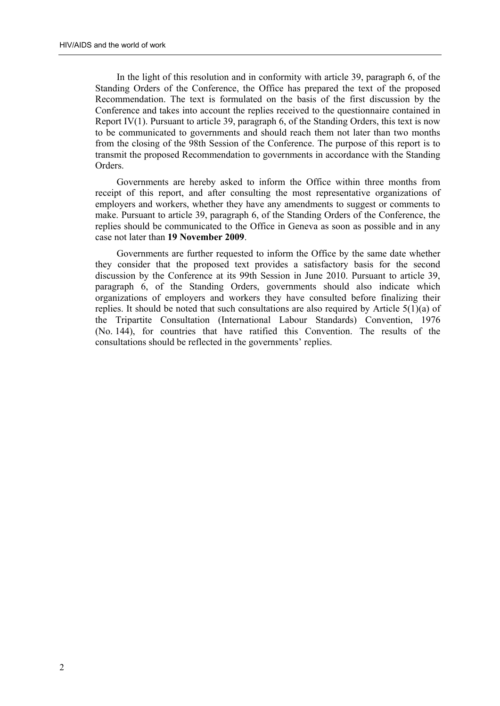In the light of this resolution and in conformity with article 39, paragraph 6, of the Standing Orders of the Conference, the Office has prepared the text of the proposed Recommendation. The text is formulated on the basis of the first discussion by the Conference and takes into account the replies received to the questionnaire contained in Report IV(1). Pursuant to article 39, paragraph 6, of the Standing Orders, this text is now to be communicated to governments and should reach them not later than two months from the closing of the 98th Session of the Conference. The purpose of this report is to transmit the proposed Recommendation to governments in accordance with the Standing Orders.

Governments are hereby asked to inform the Office within three months from receipt of this report, and after consulting the most representative organizations of employers and workers, whether they have any amendments to suggest or comments to make. Pursuant to article 39, paragraph 6, of the Standing Orders of the Conference, the replies should be communicated to the Office in Geneva as soon as possible and in any case not later than **19 November 2009**.

Governments are further requested to inform the Office by the same date whether they consider that the proposed text provides a satisfactory basis for the second discussion by the Conference at its 99th Session in June 2010. Pursuant to article 39, paragraph 6, of the Standing Orders, governments should also indicate which organizations of employers and workers they have consulted before finalizing their replies. It should be noted that such consultations are also required by Article 5(1)(a) of the Tripartite Consultation (International Labour Standards) Convention, 1976 (No. 144), for countries that have ratified this Convention. The results of the consultations should be reflected in the governments' replies.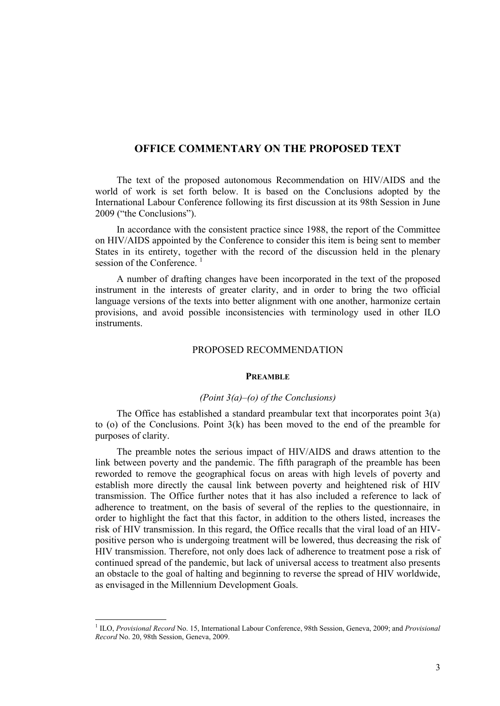## **OFFICE COMMENTARY ON THE PROPOSED TEXT**

The text of the proposed autonomous Recommendation on HIV/AIDS and the world of work is set forth below. It is based on the Conclusions adopted by the International Labour Conference following its first discussion at its 98th Session in June 2009 ("the Conclusions").

In accordance with the consistent practice since 1988, the report of the Committee on HIV/AIDS appointed by the Conference to consider this item is being sent to member States in its entirety, together with the record of the discussion held in the plenary session of the Conference.<sup>1</sup>

A number of drafting changes have been incorporated in the text of the proposed instrument in the interests of greater clarity, and in order to bring the two official language versions of the texts into better alignment with one another, harmonize certain provisions, and avoid possible inconsistencies with terminology used in other ILO **instruments** 

## PROPOSED RECOMMENDATION

## **PREAMBLE**

## *(Point 3(a)–(o) of the Conclusions)*

The Office has established a standard preambular text that incorporates point  $3(a)$ to (o) of the Conclusions. Point 3(k) has been moved to the end of the preamble for purposes of clarity.

The preamble notes the serious impact of HIV/AIDS and draws attention to the link between poverty and the pandemic. The fifth paragraph of the preamble has been reworded to remove the geographical focus on areas with high levels of poverty and establish more directly the causal link between poverty and heightened risk of HIV transmission. The Office further notes that it has also included a reference to lack of adherence to treatment, on the basis of several of the replies to the questionnaire, in order to highlight the fact that this factor, in addition to the others listed, increases the risk of HIV transmission. In this regard, the Office recalls that the viral load of an HIVpositive person who is undergoing treatment will be lowered, thus decreasing the risk of HIV transmission. Therefore, not only does lack of adherence to treatment pose a risk of continued spread of the pandemic, but lack of universal access to treatment also presents an obstacle to the goal of halting and beginning to reverse the spread of HIV worldwide, as envisaged in the Millennium Development Goals.

<sup>&</sup>lt;sup>1</sup> ILO, *Provisional Record* No. 15, International Labour Conference, 98th Session, Geneva, 2009; and *Provisional Record* No. 20, 98th Session, Geneva, 2009.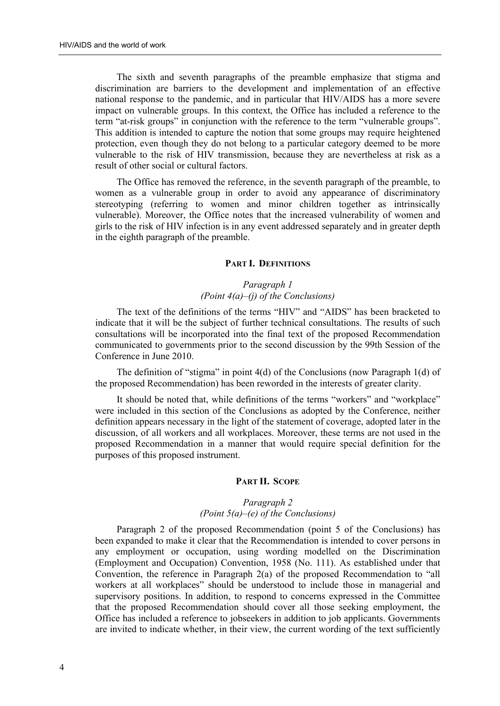The sixth and seventh paragraphs of the preamble emphasize that stigma and discrimination are barriers to the development and implementation of an effective national response to the pandemic, and in particular that HIV/AIDS has a more severe impact on vulnerable groups. In this context, the Office has included a reference to the term "at-risk groups" in conjunction with the reference to the term "vulnerable groups". This addition is intended to capture the notion that some groups may require heightened protection, even though they do not belong to a particular category deemed to be more vulnerable to the risk of HIV transmission, because they are nevertheless at risk as a result of other social or cultural factors.

The Office has removed the reference, in the seventh paragraph of the preamble, to women as a vulnerable group in order to avoid any appearance of discriminatory stereotyping (referring to women and minor children together as intrinsically vulnerable). Moreover, the Office notes that the increased vulnerability of women and girls to the risk of HIV infection is in any event addressed separately and in greater depth in the eighth paragraph of the preamble.

## **PART I. DEFINITIONS**

## *Paragraph 1 (Point 4(a)–(j) of the Conclusions)*

The text of the definitions of the terms "HIV" and "AIDS" has been bracketed to indicate that it will be the subject of further technical consultations. The results of such consultations will be incorporated into the final text of the proposed Recommendation communicated to governments prior to the second discussion by the 99th Session of the Conference in June 2010.

The definition of "stigma" in point 4(d) of the Conclusions (now Paragraph 1(d) of the proposed Recommendation) has been reworded in the interests of greater clarity.

It should be noted that, while definitions of the terms "workers" and "workplace" were included in this section of the Conclusions as adopted by the Conference, neither definition appears necessary in the light of the statement of coverage, adopted later in the discussion, of all workers and all workplaces. Moreover, these terms are not used in the proposed Recommendation in a manner that would require special definition for the purposes of this proposed instrument.

## **PART II. SCOPE**

## *Paragraph 2 (Point 5(a)–(e) of the Conclusions)*

Paragraph 2 of the proposed Recommendation (point 5 of the Conclusions) has been expanded to make it clear that the Recommendation is intended to cover persons in any employment or occupation, using wording modelled on the Discrimination (Employment and Occupation) Convention, 1958 (No. 111). As established under that Convention, the reference in Paragraph 2(a) of the proposed Recommendation to "all workers at all workplaces" should be understood to include those in managerial and supervisory positions. In addition, to respond to concerns expressed in the Committee that the proposed Recommendation should cover all those seeking employment, the Office has included a reference to jobseekers in addition to job applicants. Governments are invited to indicate whether, in their view, the current wording of the text sufficiently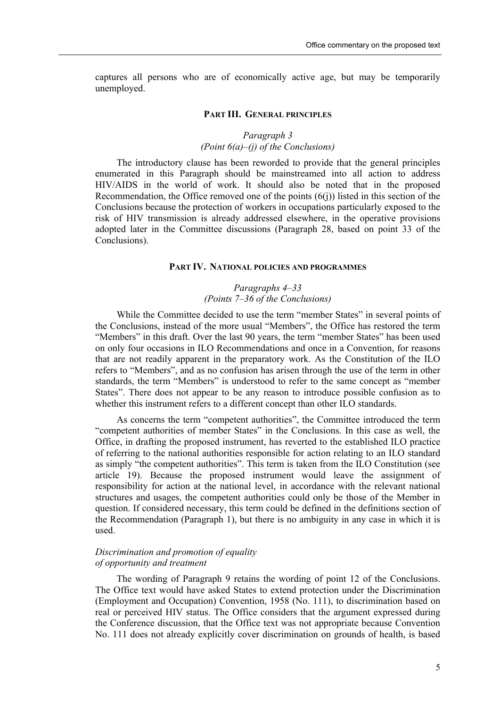captures all persons who are of economically active age, but may be temporarily unemployed.

## **PART III. GENERAL PRINCIPLES**

## *Paragraph 3 (Point 6(a)–(j) of the Conclusions)*

The introductory clause has been reworded to provide that the general principles enumerated in this Paragraph should be mainstreamed into all action to address HIV/AIDS in the world of work. It should also be noted that in the proposed Recommendation, the Office removed one of the points  $(6(i))$  listed in this section of the Conclusions because the protection of workers in occupations particularly exposed to the risk of HIV transmission is already addressed elsewhere, in the operative provisions adopted later in the Committee discussions (Paragraph 28, based on point 33 of the Conclusions).

## **PART IV. NATIONAL POLICIES AND PROGRAMMES**

## *Paragraphs 4–33 (Points 7–36 of the Conclusions)*

While the Committee decided to use the term "member States" in several points of the Conclusions, instead of the more usual "Members", the Office has restored the term "Members" in this draft. Over the last 90 years, the term "member States" has been used on only four occasions in ILO Recommendations and once in a Convention, for reasons that are not readily apparent in the preparatory work. As the Constitution of the ILO refers to "Members", and as no confusion has arisen through the use of the term in other standards, the term "Members" is understood to refer to the same concept as "member States". There does not appear to be any reason to introduce possible confusion as to whether this instrument refers to a different concept than other ILO standards.

As concerns the term "competent authorities", the Committee introduced the term "competent authorities of member States" in the Conclusions. In this case as well, the Office, in drafting the proposed instrument, has reverted to the established ILO practice of referring to the national authorities responsible for action relating to an ILO standard as simply "the competent authorities". This term is taken from the ILO Constitution (see article 19). Because the proposed instrument would leave the assignment of responsibility for action at the national level, in accordance with the relevant national structures and usages, the competent authorities could only be those of the Member in question. If considered necessary, this term could be defined in the definitions section of the Recommendation (Paragraph 1), but there is no ambiguity in any case in which it is used.

## *Discrimination and promotion of equality of opportunity and treatment*

The wording of Paragraph 9 retains the wording of point 12 of the Conclusions. The Office text would have asked States to extend protection under the Discrimination (Employment and Occupation) Convention, 1958 (No. 111), to discrimination based on real or perceived HIV status. The Office considers that the argument expressed during the Conference discussion, that the Office text was not appropriate because Convention No. 111 does not already explicitly cover discrimination on grounds of health, is based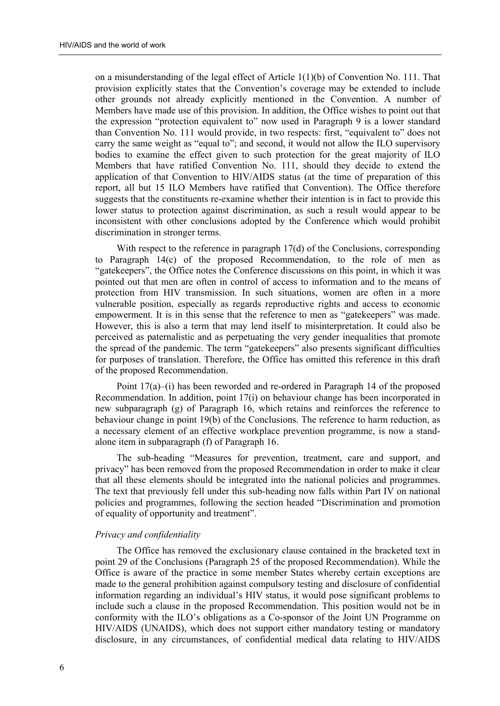on a misunderstanding of the legal effect of Article  $1(1)(b)$  of Convention No. 111. That provision explicitly states that the Convention's coverage may be extended to include other grounds not already explicitly mentioned in the Convention. A number of Members have made use of this provision. In addition, the Office wishes to point out that the expression "protection equivalent to" now used in Paragraph 9 is a lower standard than Convention No. 111 would provide, in two respects: first, "equivalent to" does not carry the same weight as "equal to"; and second, it would not allow the ILO supervisory bodies to examine the effect given to such protection for the great majority of ILO Members that have ratified Convention No. 111, should they decide to extend the application of that Convention to HIV/AIDS status (at the time of preparation of this report, all but 15 ILO Members have ratified that Convention). The Office therefore suggests that the constituents re-examine whether their intention is in fact to provide this lower status to protection against discrimination, as such a result would appear to be inconsistent with other conclusions adopted by the Conference which would prohibit discrimination in stronger terms.

With respect to the reference in paragraph 17(d) of the Conclusions, corresponding to Paragraph 14(c) of the proposed Recommendation, to the role of men as "gatekeepers", the Office notes the Conference discussions on this point, in which it was pointed out that men are often in control of access to information and to the means of protection from HIV transmission. In such situations, women are often in a more vulnerable position, especially as regards reproductive rights and access to economic empowerment. It is in this sense that the reference to men as "gatekeepers" was made. However, this is also a term that may lend itself to misinterpretation. It could also be perceived as paternalistic and as perpetuating the very gender inequalities that promote the spread of the pandemic. The term "gatekeepers" also presents significant difficulties for purposes of translation. Therefore, the Office has omitted this reference in this draft of the proposed Recommendation.

Point 17(a)–(i) has been reworded and re-ordered in Paragraph 14 of the proposed Recommendation. In addition, point 17(i) on behaviour change has been incorporated in new subparagraph (g) of Paragraph 16, which retains and reinforces the reference to behaviour change in point 19(b) of the Conclusions. The reference to harm reduction, as a necessary element of an effective workplace prevention programme, is now a standalone item in subparagraph (f) of Paragraph 16.

The sub-heading "Measures for prevention, treatment, care and support, and privacy" has been removed from the proposed Recommendation in order to make it clear that all these elements should be integrated into the national policies and programmes. The text that previously fell under this sub-heading now falls within Part IV on national policies and programmes, following the section headed "Discrimination and promotion of equality of opportunity and treatment".

## *Privacy and confidentiality*

The Office has removed the exclusionary clause contained in the bracketed text in point 29 of the Conclusions (Paragraph 25 of the proposed Recommendation). While the Office is aware of the practice in some member States whereby certain exceptions are made to the general prohibition against compulsory testing and disclosure of confidential information regarding an individual's HIV status, it would pose significant problems to include such a clause in the proposed Recommendation. This position would not be in conformity with the ILO's obligations as a Co-sponsor of the Joint UN Programme on HIV/AIDS (UNAIDS), which does not support either mandatory testing or mandatory disclosure, in any circumstances, of confidential medical data relating to HIV/AIDS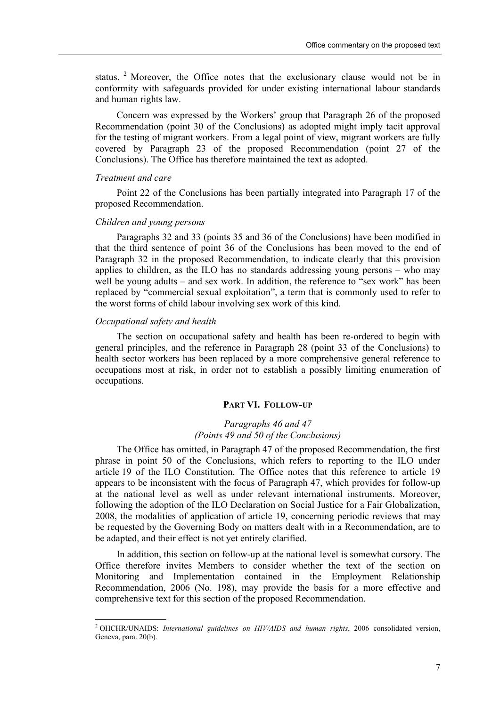status. <sup>2</sup> Moreover, the Office notes that the exclusionary clause would not be in conformity with safeguards provided for under existing international labour standards and human rights law.

Concern was expressed by the Workers' group that Paragraph 26 of the proposed Recommendation (point 30 of the Conclusions) as adopted might imply tacit approval for the testing of migrant workers. From a legal point of view, migrant workers are fully covered by Paragraph 23 of the proposed Recommendation (point 27 of the Conclusions). The Office has therefore maintained the text as adopted.

#### *Treatment and care*

Point 22 of the Conclusions has been partially integrated into Paragraph 17 of the proposed Recommendation.

## *Children and young persons*

Paragraphs 32 and 33 (points 35 and 36 of the Conclusions) have been modified in that the third sentence of point 36 of the Conclusions has been moved to the end of Paragraph 32 in the proposed Recommendation, to indicate clearly that this provision applies to children, as the ILO has no standards addressing young persons – who may well be young adults – and sex work. In addition, the reference to "sex work" has been replaced by "commercial sexual exploitation", a term that is commonly used to refer to the worst forms of child labour involving sex work of this kind.

## *Occupational safety and health*

The section on occupational safety and health has been re-ordered to begin with general principles, and the reference in Paragraph 28 (point 33 of the Conclusions) to health sector workers has been replaced by a more comprehensive general reference to occupations most at risk, in order not to establish a possibly limiting enumeration of occupations.

## **PART VI. FOLLOW-UP**

## *Paragraphs 46 and 47 (Points 49 and 50 of the Conclusions)*

The Office has omitted, in Paragraph 47 of the proposed Recommendation, the first phrase in point 50 of the Conclusions, which refers to reporting to the ILO under article 19 of the ILO Constitution. The Office notes that this reference to article 19 appears to be inconsistent with the focus of Paragraph 47, which provides for follow-up at the national level as well as under relevant international instruments. Moreover, following the adoption of the ILO Declaration on Social Justice for a Fair Globalization, 2008, the modalities of application of article 19, concerning periodic reviews that may be requested by the Governing Body on matters dealt with in a Recommendation, are to be adapted, and their effect is not yet entirely clarified.

In addition, this section on follow-up at the national level is somewhat cursory. The Office therefore invites Members to consider whether the text of the section on Monitoring and Implementation contained in the Employment Relationship Recommendation, 2006 (No. 198), may provide the basis for a more effective and comprehensive text for this section of the proposed Recommendation.

 2 OHCHR/UNAIDS: *International guidelines on HIV/AIDS and human rights*, 2006 consolidated version, Geneva, para. 20(b).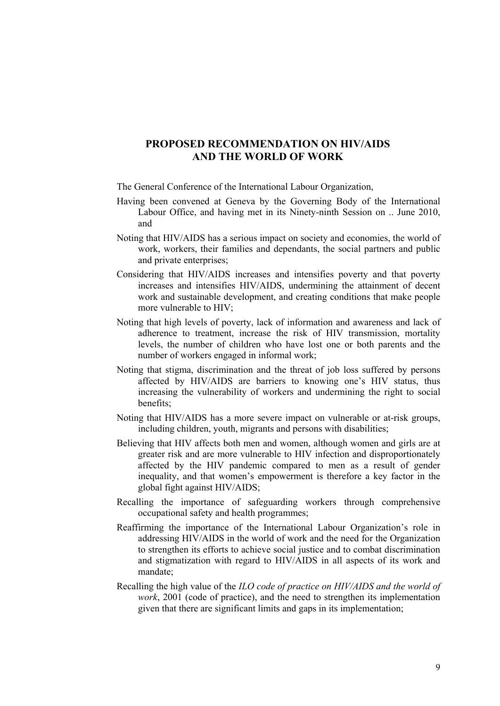## **PROPOSED RECOMMENDATION ON HIV/AIDS AND THE WORLD OF WORK**

The General Conference of the International Labour Organization,

- Having been convened at Geneva by the Governing Body of the International Labour Office, and having met in its Ninety-ninth Session on .. June 2010, and
- Noting that HIV/AIDS has a serious impact on society and economies, the world of work, workers, their families and dependants, the social partners and public and private enterprises;
- Considering that HIV/AIDS increases and intensifies poverty and that poverty increases and intensifies HIV/AIDS, undermining the attainment of decent work and sustainable development, and creating conditions that make people more vulnerable to HIV;
- Noting that high levels of poverty, lack of information and awareness and lack of adherence to treatment, increase the risk of HIV transmission, mortality levels, the number of children who have lost one or both parents and the number of workers engaged in informal work;
- Noting that stigma, discrimination and the threat of job loss suffered by persons affected by HIV/AIDS are barriers to knowing one's HIV status, thus increasing the vulnerability of workers and undermining the right to social benefits;
- Noting that HIV/AIDS has a more severe impact on vulnerable or at-risk groups, including children, youth, migrants and persons with disabilities;
- Believing that HIV affects both men and women, although women and girls are at greater risk and are more vulnerable to HIV infection and disproportionately affected by the HIV pandemic compared to men as a result of gender inequality, and that women's empowerment is therefore a key factor in the global fight against HIV/AIDS;
- Recalling the importance of safeguarding workers through comprehensive occupational safety and health programmes;
- Reaffirming the importance of the International Labour Organization's role in addressing HIV/AIDS in the world of work and the need for the Organization to strengthen its efforts to achieve social justice and to combat discrimination and stigmatization with regard to HIV/AIDS in all aspects of its work and mandate;
- Recalling the high value of the *ILO code of practice on HIV/AIDS and the world of work*, 2001 (code of practice), and the need to strengthen its implementation given that there are significant limits and gaps in its implementation;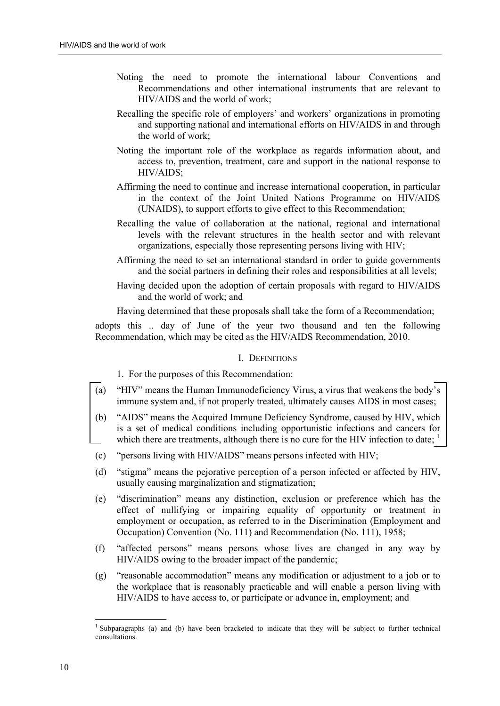- Noting the need to promote the international labour Conventions and Recommendations and other international instruments that are relevant to HIV/AIDS and the world of work;
- Recalling the specific role of employers' and workers' organizations in promoting and supporting national and international efforts on HIV/AIDS in and through the world of work;
- Noting the important role of the workplace as regards information about, and access to, prevention, treatment, care and support in the national response to HIV/AIDS;
- Affirming the need to continue and increase international cooperation, in particular in the context of the Joint United Nations Programme on HIV/AIDS (UNAIDS), to support efforts to give effect to this Recommendation;
- Recalling the value of collaboration at the national, regional and international levels with the relevant structures in the health sector and with relevant organizations, especially those representing persons living with HIV;
- Affirming the need to set an international standard in order to guide governments and the social partners in defining their roles and responsibilities at all levels;
- Having decided upon the adoption of certain proposals with regard to HIV/AIDS and the world of work; and

Having determined that these proposals shall take the form of a Recommendation;

adopts this .. day of June of the year two thousand and ten the following Recommendation, which may be cited as the HIV/AIDS Recommendation, 2010.

## I. DEFINITIONS

- 1. For the purposes of this Recommendation:
- (a) "HIV" means the Human Immunodeficiency Virus, a virus that weakens the body's immune system and, if not properly treated, ultimately causes AIDS in most cases;
- (b) "AIDS" means the Acquired Immune Deficiency Syndrome, caused by HIV, which is a set of medical conditions including opportunistic infections and cancers for which there are treatments, although there is no cure for the HIV infection to date;  $\frac{1}{1}$
- (c) "persons living with HIV/AIDS" means persons infected with HIV;
- (d) "stigma" means the pejorative perception of a person infected or affected by HIV, usually causing marginalization and stigmatization;
- (e) "discrimination" means any distinction, exclusion or preference which has the effect of nullifying or impairing equality of opportunity or treatment in employment or occupation, as referred to in the Discrimination (Employment and Occupation) Convention (No. 111) and Recommendation (No. 111), 1958;
- (f) "affected persons" means persons whose lives are changed in any way by HIV/AIDS owing to the broader impact of the pandemic;
- (g) "reasonable accommodation" means any modification or adjustment to a job or to the workplace that is reasonably practicable and will enable a person living with HIV/AIDS to have access to, or participate or advance in, employment; and

<sup>&</sup>lt;sup>1</sup> Subparagraphs (a) and (b) have been bracketed to indicate that they will be subject to further technical consultations.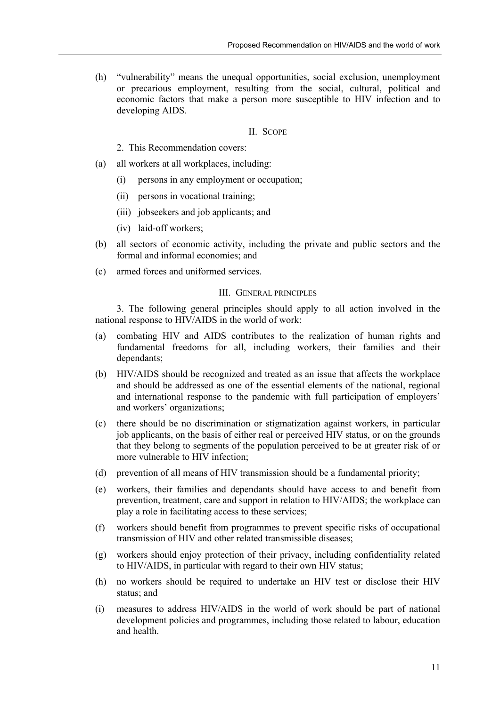(h) "vulnerability" means the unequal opportunities, social exclusion, unemployment or precarious employment, resulting from the social, cultural, political and economic factors that make a person more susceptible to HIV infection and to developing AIDS.

## II. SCOPE

- 2. This Recommendation covers:
- (a) all workers at all workplaces, including:
	- (i) persons in any employment or occupation;
	- (ii) persons in vocational training;
	- (iii) jobseekers and job applicants; and
	- (iv) laid-off workers;
- (b) all sectors of economic activity, including the private and public sectors and the formal and informal economies; and
- (c) armed forces and uniformed services.

## III. GENERAL PRINCIPLES

3. The following general principles should apply to all action involved in the national response to HIV/AIDS in the world of work:

- (a) combating HIV and AIDS contributes to the realization of human rights and fundamental freedoms for all, including workers, their families and their dependants;
- (b) HIV/AIDS should be recognized and treated as an issue that affects the workplace and should be addressed as one of the essential elements of the national, regional and international response to the pandemic with full participation of employers' and workers' organizations;
- (c) there should be no discrimination or stigmatization against workers, in particular job applicants, on the basis of either real or perceived HIV status, or on the grounds that they belong to segments of the population perceived to be at greater risk of or more vulnerable to HIV infection;
- (d) prevention of all means of HIV transmission should be a fundamental priority;
- (e) workers, their families and dependants should have access to and benefit from prevention, treatment, care and support in relation to HIV/AIDS; the workplace can play a role in facilitating access to these services;
- (f) workers should benefit from programmes to prevent specific risks of occupational transmission of HIV and other related transmissible diseases;
- (g) workers should enjoy protection of their privacy, including confidentiality related to HIV/AIDS, in particular with regard to their own HIV status;
- (h) no workers should be required to undertake an HIV test or disclose their HIV status; and
- (i) measures to address HIV/AIDS in the world of work should be part of national development policies and programmes, including those related to labour, education and health.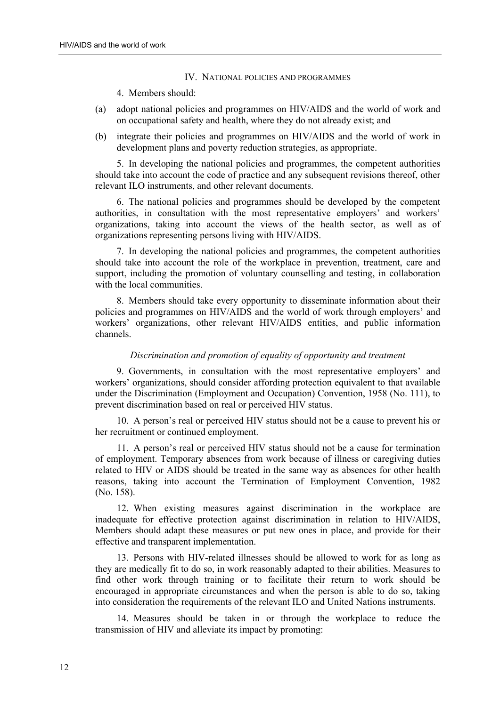## IV. NATIONAL POLICIES AND PROGRAMMES

## 4. Members should:

- (a) adopt national policies and programmes on HIV/AIDS and the world of work and on occupational safety and health, where they do not already exist; and
- (b) integrate their policies and programmes on HIV/AIDS and the world of work in development plans and poverty reduction strategies, as appropriate.

5. In developing the national policies and programmes, the competent authorities should take into account the code of practice and any subsequent revisions thereof, other relevant ILO instruments, and other relevant documents.

6. The national policies and programmes should be developed by the competent authorities, in consultation with the most representative employers' and workers' organizations, taking into account the views of the health sector, as well as of organizations representing persons living with HIV/AIDS.

7. In developing the national policies and programmes, the competent authorities should take into account the role of the workplace in prevention, treatment, care and support, including the promotion of voluntary counselling and testing, in collaboration with the local communities.

8. Members should take every opportunity to disseminate information about their policies and programmes on HIV/AIDS and the world of work through employers' and workers' organizations, other relevant HIV/AIDS entities, and public information channels.

## *Discrimination and promotion of equality of opportunity and treatment*

9. Governments, in consultation with the most representative employers' and workers' organizations, should consider affording protection equivalent to that available under the Discrimination (Employment and Occupation) Convention, 1958 (No. 111), to prevent discrimination based on real or perceived HIV status.

10. A person's real or perceived HIV status should not be a cause to prevent his or her recruitment or continued employment.

11. A person's real or perceived HIV status should not be a cause for termination of employment. Temporary absences from work because of illness or caregiving duties related to HIV or AIDS should be treated in the same way as absences for other health reasons, taking into account the Termination of Employment Convention, 1982 (No. 158).

12. When existing measures against discrimination in the workplace are inadequate for effective protection against discrimination in relation to HIV/AIDS, Members should adapt these measures or put new ones in place, and provide for their effective and transparent implementation.

13. Persons with HIV-related illnesses should be allowed to work for as long as they are medically fit to do so, in work reasonably adapted to their abilities. Measures to find other work through training or to facilitate their return to work should be encouraged in appropriate circumstances and when the person is able to do so, taking into consideration the requirements of the relevant ILO and United Nations instruments.

14. Measures should be taken in or through the workplace to reduce the transmission of HIV and alleviate its impact by promoting: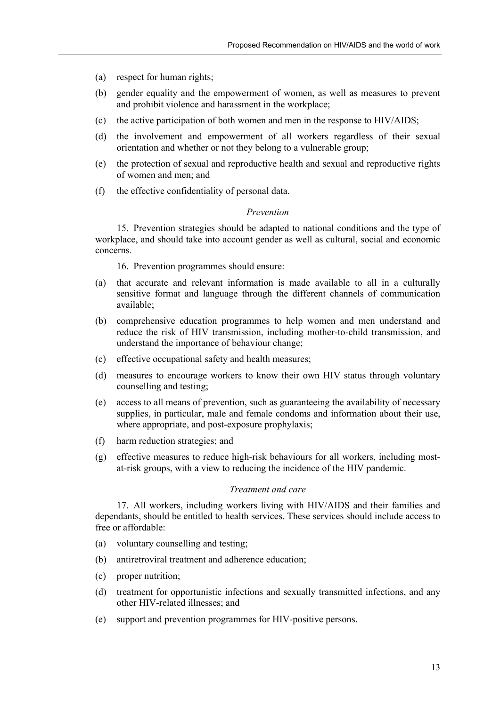- (a) respect for human rights;
- (b) gender equality and the empowerment of women, as well as measures to prevent and prohibit violence and harassment in the workplace;
- (c) the active participation of both women and men in the response to HIV/AIDS;
- (d) the involvement and empowerment of all workers regardless of their sexual orientation and whether or not they belong to a vulnerable group;
- (e) the protection of sexual and reproductive health and sexual and reproductive rights of women and men; and
- (f) the effective confidentiality of personal data.

## *Prevention*

15. Prevention strategies should be adapted to national conditions and the type of workplace, and should take into account gender as well as cultural, social and economic concerns.

16. Prevention programmes should ensure:

- (a) that accurate and relevant information is made available to all in a culturally sensitive format and language through the different channels of communication available;
- (b) comprehensive education programmes to help women and men understand and reduce the risk of HIV transmission, including mother-to-child transmission, and understand the importance of behaviour change;
- (c) effective occupational safety and health measures;
- (d) measures to encourage workers to know their own HIV status through voluntary counselling and testing;
- (e) access to all means of prevention, such as guaranteeing the availability of necessary supplies, in particular, male and female condoms and information about their use, where appropriate, and post-exposure prophylaxis;
- (f) harm reduction strategies; and
- (g) effective measures to reduce high-risk behaviours for all workers, including mostat-risk groups, with a view to reducing the incidence of the HIV pandemic.

## *Treatment and care*

17. All workers, including workers living with HIV/AIDS and their families and dependants, should be entitled to health services. These services should include access to free or affordable:

- (a) voluntary counselling and testing;
- (b) antiretroviral treatment and adherence education;
- (c) proper nutrition;
- (d) treatment for opportunistic infections and sexually transmitted infections, and any other HIV-related illnesses; and
- (e) support and prevention programmes for HIV-positive persons.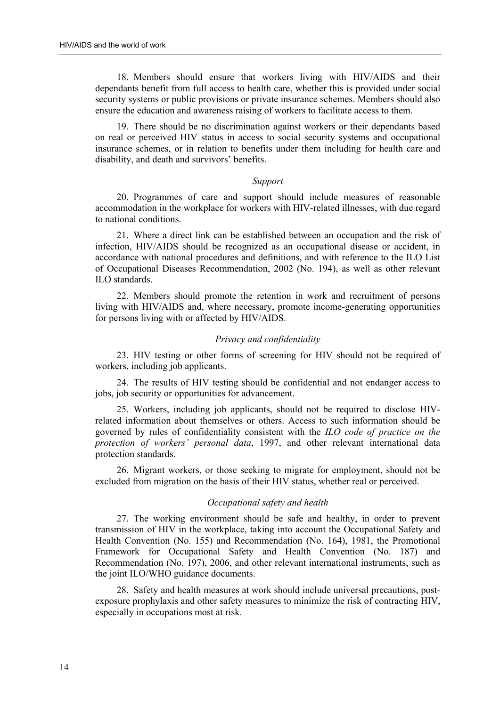18. Members should ensure that workers living with HIV/AIDS and their dependants benefit from full access to health care, whether this is provided under social security systems or public provisions or private insurance schemes. Members should also ensure the education and awareness raising of workers to facilitate access to them.

19. There should be no discrimination against workers or their dependants based on real or perceived HIV status in access to social security systems and occupational insurance schemes, or in relation to benefits under them including for health care and disability, and death and survivors' benefits.

### *Support*

20. Programmes of care and support should include measures of reasonable accommodation in the workplace for workers with HIV-related illnesses, with due regard to national conditions.

21. Where a direct link can be established between an occupation and the risk of infection, HIV/AIDS should be recognized as an occupational disease or accident, in accordance with national procedures and definitions, and with reference to the ILO List of Occupational Diseases Recommendation, 2002 (No. 194), as well as other relevant ILO standards.

22. Members should promote the retention in work and recruitment of persons living with HIV/AIDS and, where necessary, promote income-generating opportunities for persons living with or affected by HIV/AIDS.

#### *Privacy and confidentiality*

23. HIV testing or other forms of screening for HIV should not be required of workers, including job applicants.

24. The results of HIV testing should be confidential and not endanger access to jobs, job security or opportunities for advancement.

25. Workers, including job applicants, should not be required to disclose HIVrelated information about themselves or others. Access to such information should be governed by rules of confidentiality consistent with the *ILO code of practice on the protection of workers' personal data*, 1997, and other relevant international data protection standards.

26. Migrant workers, or those seeking to migrate for employment, should not be excluded from migration on the basis of their HIV status, whether real or perceived.

## *Occupational safety and health*

27. The working environment should be safe and healthy, in order to prevent transmission of HIV in the workplace, taking into account the Occupational Safety and Health Convention (No. 155) and Recommendation (No. 164), 1981, the Promotional Framework for Occupational Safety and Health Convention (No. 187) and Recommendation (No. 197), 2006, and other relevant international instruments, such as the joint ILO/WHO guidance documents.

28. Safety and health measures at work should include universal precautions, postexposure prophylaxis and other safety measures to minimize the risk of contracting HIV, especially in occupations most at risk.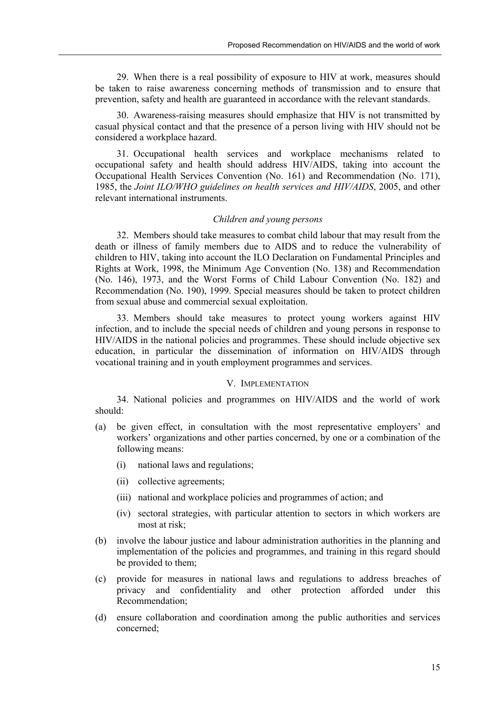29. When there is a real possibility of exposure to HIV at work, measures should be taken to raise awareness concerning methods of transmission and to ensure that prevention, safety and health are guaranteed in accordance with the relevant standards.

30. Awareness-raising measures should emphasize that HIV is not transmitted by casual physical contact and that the presence of a person living with HIV should not be considered a workplace hazard.

31. Occupational health services and workplace mechanisms related to occupational safety and health should address HIV/AIDS, taking into account the Occupational Health Services Convention (No. 161) and Recommendation (No. 171), 1985, the *Joint ILO/WHO guidelines on health services and HIV/AIDS*, 2005, and other relevant international instruments.

## *Children and young persons*

32. Members should take measures to combat child labour that may result from the death or illness of family members due to AIDS and to reduce the vulnerability of children to HIV, taking into account the ILO Declaration on Fundamental Principles and Rights at Work, 1998, the Minimum Age Convention (No. 138) and Recommendation (No. 146), 1973, and the Worst Forms of Child Labour Convention (No. 182) and Recommendation (No. 190), 1999. Special measures should be taken to protect children from sexual abuse and commercial sexual exploitation.

33. Members should take measures to protect young workers against HIV infection, and to include the special needs of children and young persons in response to HIV/AIDS in the national policies and programmes. These should include objective sex education, in particular the dissemination of information on HIV/AIDS through vocational training and in youth employment programmes and services.

## V. IMPLEMENTATION

34. National policies and programmes on HIV/AIDS and the world of work should:

- (a) be given effect, in consultation with the most representative employers' and workers' organizations and other parties concerned, by one or a combination of the following means:
	- (i) national laws and regulations;
	- (ii) collective agreements;
	- (iii) national and workplace policies and programmes of action; and
	- (iv) sectoral strategies, with particular attention to sectors in which workers are most at risk;
- (b) involve the labour justice and labour administration authorities in the planning and implementation of the policies and programmes, and training in this regard should be provided to them;
- (c) provide for measures in national laws and regulations to address breaches of privacy and confidentiality and other protection afforded under this Recommendation;
- (d) ensure collaboration and coordination among the public authorities and services concerned;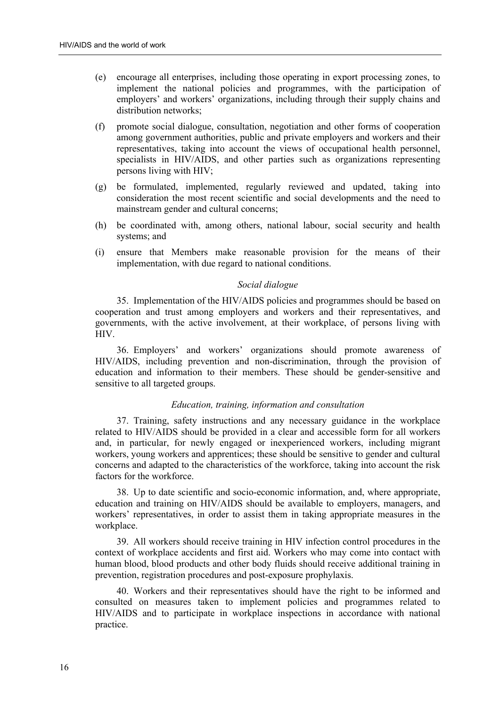- (e) encourage all enterprises, including those operating in export processing zones, to implement the national policies and programmes, with the participation of employers' and workers' organizations, including through their supply chains and distribution networks;
- (f) promote social dialogue, consultation, negotiation and other forms of cooperation among government authorities, public and private employers and workers and their representatives, taking into account the views of occupational health personnel, specialists in HIV/AIDS, and other parties such as organizations representing persons living with HIV;
- (g) be formulated, implemented, regularly reviewed and updated, taking into consideration the most recent scientific and social developments and the need to mainstream gender and cultural concerns;
- (h) be coordinated with, among others, national labour, social security and health systems; and
- (i) ensure that Members make reasonable provision for the means of their implementation, with due regard to national conditions.

### *Social dialogue*

35. Implementation of the HIV/AIDS policies and programmes should be based on cooperation and trust among employers and workers and their representatives, and governments, with the active involvement, at their workplace, of persons living with HIV.

36. Employers' and workers' organizations should promote awareness of HIV/AIDS, including prevention and non-discrimination, through the provision of education and information to their members. These should be gender-sensitive and sensitive to all targeted groups.

## *Education, training, information and consultation*

37. Training, safety instructions and any necessary guidance in the workplace related to HIV/AIDS should be provided in a clear and accessible form for all workers and, in particular, for newly engaged or inexperienced workers, including migrant workers, young workers and apprentices; these should be sensitive to gender and cultural concerns and adapted to the characteristics of the workforce, taking into account the risk factors for the workforce.

38. Up to date scientific and socio-economic information, and, where appropriate, education and training on HIV/AIDS should be available to employers, managers, and workers' representatives, in order to assist them in taking appropriate measures in the workplace.

39. All workers should receive training in HIV infection control procedures in the context of workplace accidents and first aid. Workers who may come into contact with human blood, blood products and other body fluids should receive additional training in prevention, registration procedures and post-exposure prophylaxis.

40. Workers and their representatives should have the right to be informed and consulted on measures taken to implement policies and programmes related to HIV/AIDS and to participate in workplace inspections in accordance with national practice.